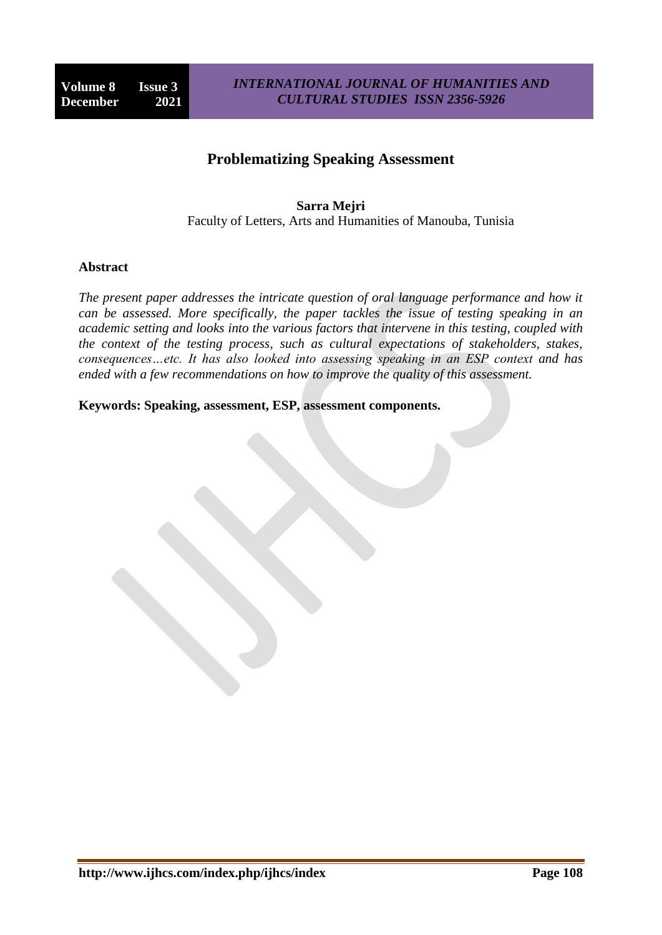# **Problematizing Speaking Assessment**

**Sarra Mejri** Faculty of Letters, Arts and Humanities of Manouba, Tunisia

#### **Abstract**

*The present paper addresses the intricate question of oral language performance and how it can be assessed. More specifically, the paper tackles the issue of testing speaking in an academic setting and looks into the various factors that intervene in this testing, coupled with the context of the testing process, such as cultural expectations of stakeholders, stakes, consequences…etc. It has also looked into assessing speaking in an ESP context and has ended with a few recommendations on how to improve the quality of this assessment.*

**Keywords: Speaking, assessment, ESP, assessment components.**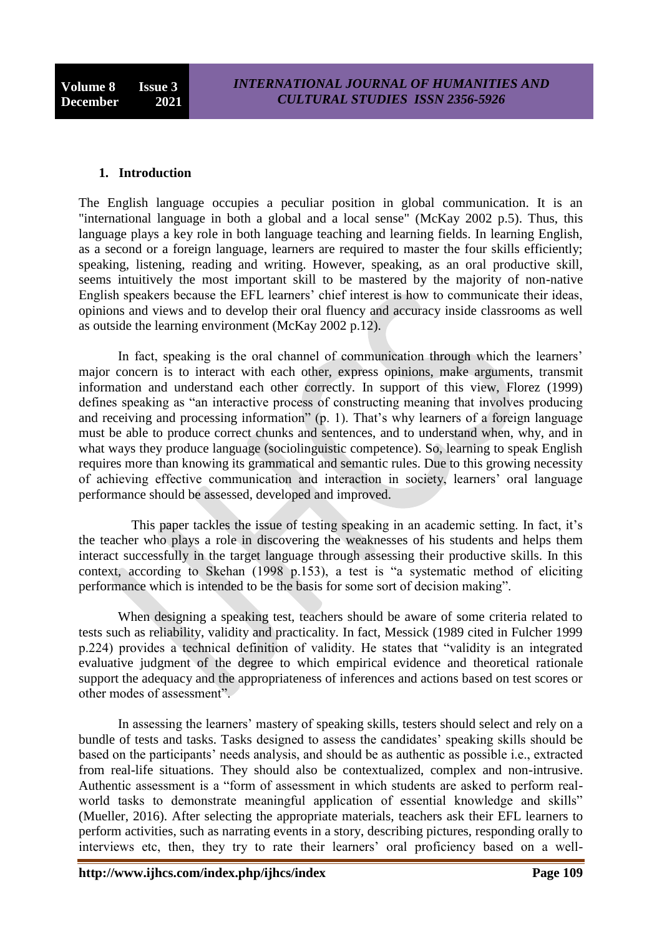#### **1. Introduction**

The English language occupies a peculiar position in global communication. It is an "international language in both a global and a local sense" (McKay 2002 p.5). Thus, this language plays a key role in both language teaching and learning fields. In learning English, as a second or a foreign language, learners are required to master the four skills efficiently; speaking, listening, reading and writing. However, speaking, as an oral productive skill, seems intuitively the most important skill to be mastered by the majority of non-native English speakers because the EFL learners' chief interest is how to communicate their ideas, opinions and views and to develop their oral fluency and accuracy inside classrooms as well as outside the learning environment (McKay 2002 p.12).

In fact, speaking is the oral channel of communication through which the learners' major concern is to interact with each other, express opinions, make arguments, transmit information and understand each other correctly. In support of this view, Florez (1999) defines speaking as "an interactive process of constructing meaning that involves producing and receiving and processing information" (p. 1). That's why learners of a foreign language must be able to produce correct chunks and sentences, and to understand when, why, and in what ways they produce language (sociolinguistic competence). So, learning to speak English requires more than knowing its grammatical and semantic rules. Due to this growing necessity of achieving effective communication and interaction in society, learners' oral language performance should be assessed, developed and improved.

 This paper tackles the issue of testing speaking in an academic setting. In fact, it's the teacher who plays a role in discovering the weaknesses of his students and helps them interact successfully in the target language through assessing their productive skills. In this context, according to Skehan (1998 p.153), a test is "a systematic method of eliciting performance which is intended to be the basis for some sort of decision making".

When designing a speaking test, teachers should be aware of some criteria related to tests such as reliability, validity and practicality. In fact, Messick (1989 cited in Fulcher 1999 p.224) provides a technical definition of validity. He states that "validity is an integrated evaluative judgment of the degree to which empirical evidence and theoretical rationale support the adequacy and the appropriateness of inferences and actions based on test scores or other modes of assessment".

In assessing the learners' mastery of speaking skills, testers should select and rely on a bundle of tests and tasks. Tasks designed to assess the candidates' speaking skills should be based on the participants' needs analysis, and should be as authentic as possible i.e., extracted from real-life situations. They should also be contextualized, complex and non-intrusive. Authentic assessment is a "form of assessment in which students are asked to perform realworld tasks to demonstrate meaningful application of essential knowledge and skills" (Mueller, 2016). After selecting the appropriate materials, teachers ask their EFL learners to perform activities, such as narrating events in a story, describing pictures, responding orally to interviews etc, then, they try to rate their learners' oral proficiency based on a well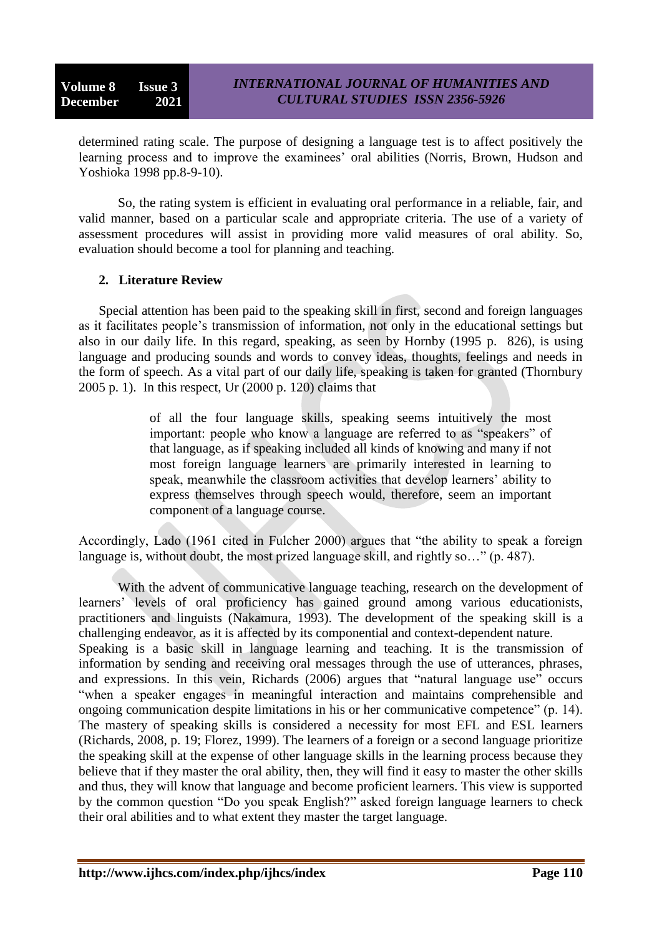determined rating scale. The purpose of designing a language test is to affect positively the learning process and to improve the examinees' oral abilities (Norris, Brown, Hudson and Yoshioka 1998 pp.8-9-10).

So, the rating system is efficient in evaluating oral performance in a reliable, fair, and valid manner, based on a particular scale and appropriate criteria. The use of a variety of assessment procedures will assist in providing more valid measures of oral ability. So, evaluation should become a tool for planning and teaching.

### **2. Literature Review**

Special attention has been paid to the speaking skill in first, second and foreign languages as it facilitates people's transmission of information, not only in the educational settings but also in our daily life. In this regard, speaking, as seen by Hornby (1995 p. 826), is using language and producing sounds and words to convey ideas, thoughts, feelings and needs in the form of speech. As a vital part of our daily life, speaking is taken for granted (Thornbury 2005 p. 1). In this respect, Ur (2000 p. 120) claims that

> of all the four language skills, speaking seems intuitively the most important: people who know a language are referred to as "speakers" of that language, as if speaking included all kinds of knowing and many if not most foreign language learners are primarily interested in learning to speak, meanwhile the classroom activities that develop learners' ability to express themselves through speech would, therefore, seem an important component of a language course.

Accordingly, Lado (1961 cited in Fulcher 2000) argues that "the ability to speak a foreign language is, without doubt, the most prized language skill, and rightly so…" (p. 487).

With the advent of communicative language teaching, research on the development of learners' levels of oral proficiency has gained ground among various educationists, practitioners and linguists (Nakamura, 1993). The development of the speaking skill is a challenging endeavor, as it is affected by its componential and context-dependent nature. Speaking is a basic skill in language learning and teaching. It is the transmission of information by sending and receiving oral messages through the use of utterances, phrases, and expressions. In this vein, Richards (2006) argues that "natural language use" occurs "when a speaker engages in meaningful interaction and maintains comprehensible and ongoing communication despite limitations in his or her communicative competence" (p. 14). The mastery of speaking skills is considered a necessity for most EFL and ESL learners (Richards, 2008, p. 19; Florez, 1999). The learners of a foreign or a second language prioritize the speaking skill at the expense of other language skills in the learning process because they believe that if they master the oral ability, then, they will find it easy to master the other skills and thus, they will know that language and become proficient learners. This view is supported by the common question "Do you speak English?" asked foreign language learners to check their oral abilities and to what extent they master the target language.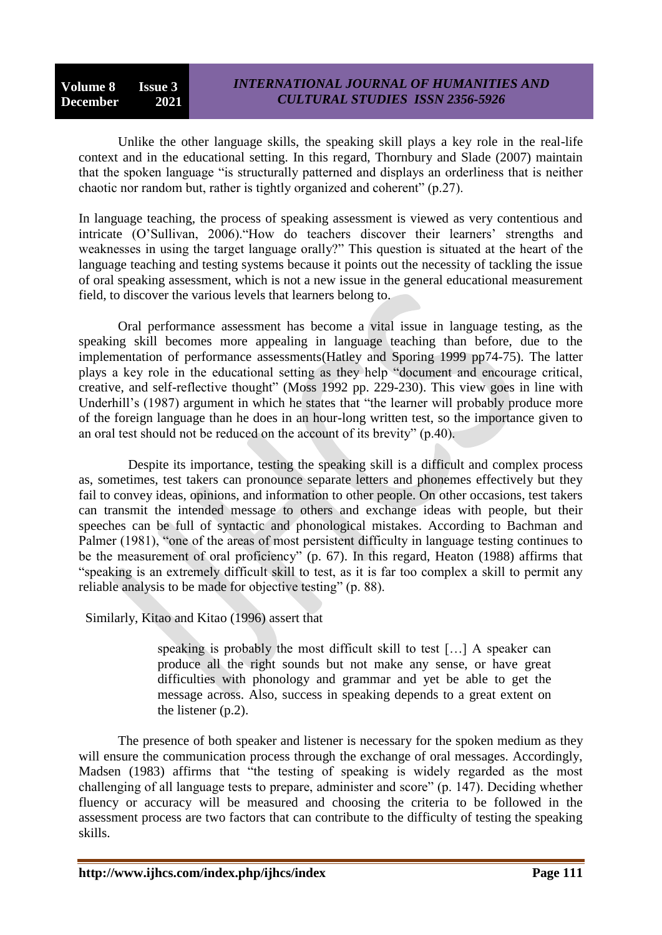**Volume 8 Issue 3 December 2021**

## *INTERNATIONAL JOURNAL OF HUMANITIES AND CULTURAL STUDIES ISSN 2356-5926*

Unlike the other language skills, the speaking skill plays a key role in the real-life context and in the educational setting. In this regard, Thornbury and Slade (2007) maintain that the spoken language "is structurally patterned and displays an orderliness that is neither chaotic nor random but, rather is tightly organized and coherent" (p.27).

In language teaching, the process of speaking assessment is viewed as very contentious and intricate (O'Sullivan, 2006)."How do teachers discover their learners' strengths and weaknesses in using the target language orally?" This question is situated at the heart of the language teaching and testing systems because it points out the necessity of tackling the issue of oral speaking assessment, which is not a new issue in the general educational measurement field, to discover the various levels that learners belong to.

Oral performance assessment has become a vital issue in language testing, as the speaking skill becomes more appealing in language teaching than before, due to the implementation of performance assessments(Hatley and Sporing 1999 pp74-75). The latter plays a key role in the educational setting as they help "document and encourage critical, creative, and self-reflective thought" (Moss 1992 pp. 229-230). This view goes in line with Underhill's (1987) argument in which he states that "the learner will probably produce more of the foreign language than he does in an hour-long written test, so the importance given to an oral test should not be reduced on the account of its brevity" (p.40).

 Despite its importance, testing the speaking skill is a difficult and complex process as, sometimes, test takers can pronounce separate letters and phonemes effectively but they fail to convey ideas, opinions, and information to other people. On other occasions, test takers can transmit the intended message to others and exchange ideas with people, but their speeches can be full of syntactic and phonological mistakes. According to Bachman and Palmer (1981), "one of the areas of most persistent difficulty in language testing continues to be the measurement of oral proficiency" (p. 67). In this regard, Heaton (1988) affirms that "speaking is an extremely difficult skill to test, as it is far too complex a skill to permit any reliable analysis to be made for objective testing" (p. 88).

Similarly, Kitao and Kitao (1996) assert that

speaking is probably the most difficult skill to test […] A speaker can produce all the right sounds but not make any sense, or have great difficulties with phonology and grammar and yet be able to get the message across. Also, success in speaking depends to a great extent on the listener (p.2).

The presence of both speaker and listener is necessary for the spoken medium as they will ensure the communication process through the exchange of oral messages. Accordingly, Madsen (1983) affirms that "the testing of speaking is widely regarded as the most challenging of all language tests to prepare, administer and score" (p. 147). Deciding whether fluency or accuracy will be measured and choosing the criteria to be followed in the assessment process are two factors that can contribute to the difficulty of testing the speaking skills.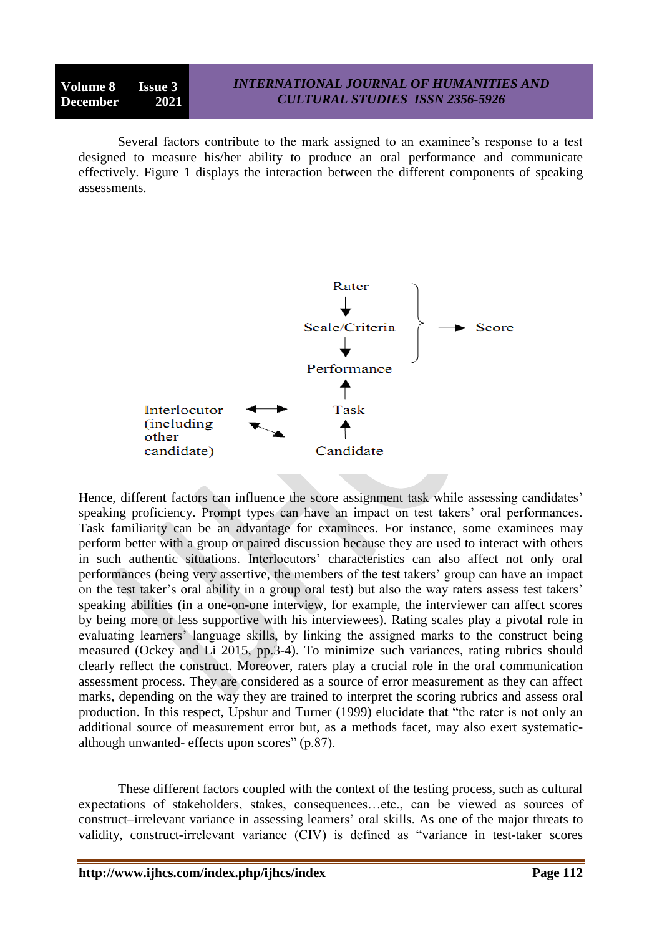Several factors contribute to the mark assigned to an examinee's response to a test designed to measure his/her ability to produce an oral performance and communicate effectively. Figure 1 displays the interaction between the different components of speaking assessments.



Hence, different factors can influence the score assignment task while assessing candidates' speaking proficiency. Prompt types can have an impact on test takers' oral performances. Task familiarity can be an advantage for examinees. For instance, some examinees may perform better with a group or paired discussion because they are used to interact with others in such authentic situations. Interlocutors' characteristics can also affect not only oral performances (being very assertive, the members of the test takers' group can have an impact on the test taker's oral ability in a group oral test) but also the way raters assess test takers' speaking abilities (in a one-on-one interview, for example, the interviewer can affect scores by being more or less supportive with his interviewees). Rating scales play a pivotal role in evaluating learners' language skills, by linking the assigned marks to the construct being measured (Ockey and Li 2015, pp.3-4). To minimize such variances, rating rubrics should clearly reflect the construct. Moreover, raters play a crucial role in the oral communication assessment process. They are considered as a source of error measurement as they can affect marks, depending on the way they are trained to interpret the scoring rubrics and assess oral production. In this respect, Upshur and Turner (1999) elucidate that "the rater is not only an additional source of measurement error but, as a methods facet, may also exert systematicalthough unwanted- effects upon scores" (p.87).

These different factors coupled with the context of the testing process, such as cultural expectations of stakeholders, stakes, consequences…etc., can be viewed as sources of construct–irrelevant variance in assessing learners' oral skills. As one of the major threats to validity, construct-irrelevant variance (CIV) is defined as "variance in test-taker scores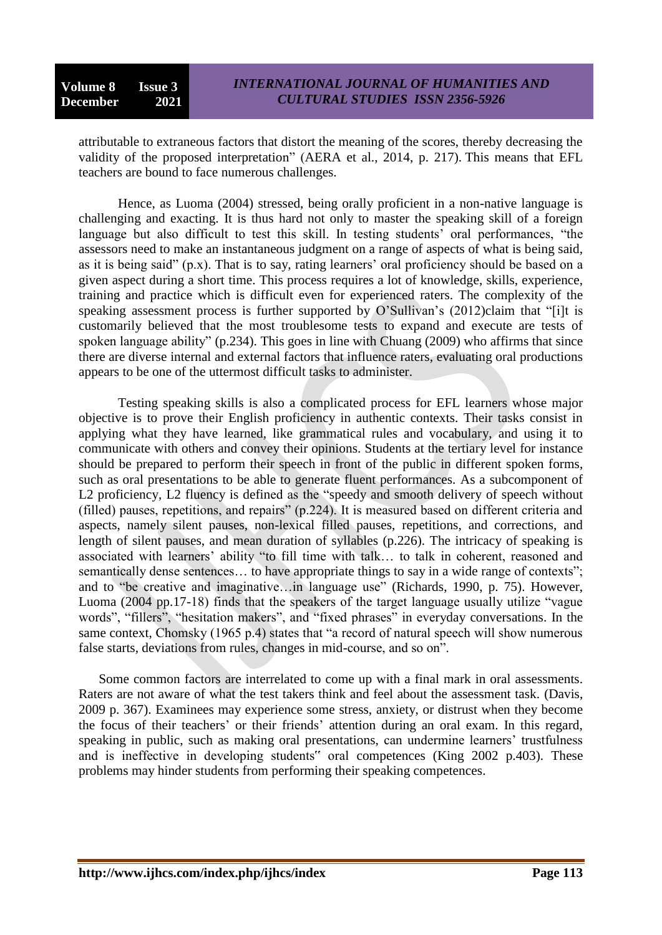attributable to extraneous factors that distort the meaning of the scores, thereby decreasing the validity of the proposed interpretation" (AERA et al., 2014, p. 217). This means that EFL teachers are bound to face numerous challenges.

Hence, as Luoma (2004) stressed, being orally proficient in a non-native language is challenging and exacting. It is thus hard not only to master the speaking skill of a foreign language but also difficult to test this skill. In testing students' oral performances, "the assessors need to make an instantaneous judgment on a range of aspects of what is being said, as it is being said" (p.x). That is to say, rating learners' oral proficiency should be based on a given aspect during a short time. This process requires a lot of knowledge, skills, experience, training and practice which is difficult even for experienced raters. The complexity of the speaking assessment process is further supported by  $O'Sullivan's (2012)$ claim that "[i]t is customarily believed that the most troublesome tests to expand and execute are tests of spoken language ability" (p.234). This goes in line with Chuang (2009) who affirms that since there are diverse internal and external factors that influence raters, evaluating oral productions appears to be one of the uttermost difficult tasks to administer.

Testing speaking skills is also a complicated process for EFL learners whose major objective is to prove their English proficiency in authentic contexts. Their tasks consist in applying what they have learned, like grammatical rules and vocabulary, and using it to communicate with others and convey their opinions. Students at the tertiary level for instance should be prepared to perform their speech in front of the public in different spoken forms, such as oral presentations to be able to generate fluent performances. As a subcomponent of L2 proficiency, L2 fluency is defined as the "speedy and smooth delivery of speech without (filled) pauses, repetitions, and repairs" (p.224). It is measured based on different criteria and aspects, namely silent pauses, non-lexical filled pauses, repetitions, and corrections, and length of silent pauses, and mean duration of syllables (p.226). The intricacy of speaking is associated with learners' ability "to fill time with talk… to talk in coherent, reasoned and semantically dense sentences... to have appropriate things to say in a wide range of contexts"; and to "be creative and imaginative…in language use" (Richards, 1990, p. 75). However, Luoma (2004 pp.17-18) finds that the speakers of the target language usually utilize "vague words", "fillers", "hesitation makers", and "fixed phrases" in everyday conversations. In the same context, Chomsky (1965 p.4) states that "a record of natural speech will show numerous false starts, deviations from rules, changes in mid-course, and so on".

Some common factors are interrelated to come up with a final mark in oral assessments. Raters are not aware of what the test takers think and feel about the assessment task. (Davis, 2009 p. 367). Examinees may experience some stress, anxiety, or distrust when they become the focus of their teachers' or their friends' attention during an oral exam. In this regard, speaking in public, such as making oral presentations, can undermine learners' trustfulness and is ineffective in developing students" oral competences (King 2002 p.403). These problems may hinder students from performing their speaking competences.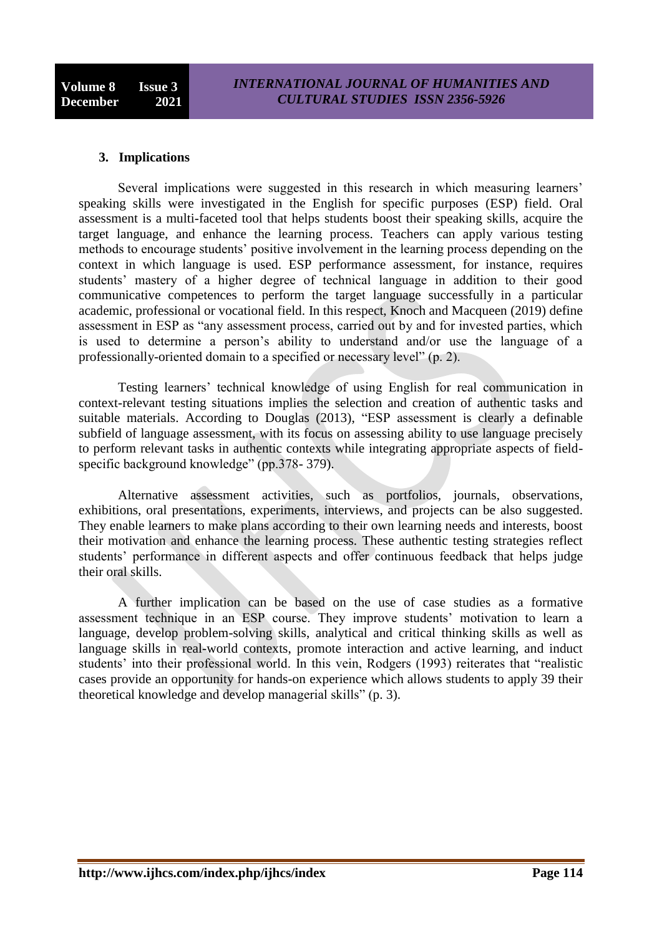### **3. Implications**

Several implications were suggested in this research in which measuring learners' speaking skills were investigated in the English for specific purposes (ESP) field. Oral assessment is a multi-faceted tool that helps students boost their speaking skills, acquire the target language, and enhance the learning process. Teachers can apply various testing methods to encourage students' positive involvement in the learning process depending on the context in which language is used. ESP performance assessment, for instance, requires students' mastery of a higher degree of technical language in addition to their good communicative competences to perform the target language successfully in a particular academic, professional or vocational field. In this respect, Knoch and Macqueen (2019) define assessment in ESP as "any assessment process, carried out by and for invested parties, which is used to determine a person's ability to understand and/or use the language of a professionally-oriented domain to a specified or necessary level" (p. 2).

Testing learners' technical knowledge of using English for real communication in context-relevant testing situations implies the selection and creation of authentic tasks and suitable materials. According to Douglas (2013), "ESP assessment is clearly a definable subfield of language assessment, with its focus on assessing ability to use language precisely to perform relevant tasks in authentic contexts while integrating appropriate aspects of fieldspecific background knowledge" (pp.378- 379).

Alternative assessment activities, such as portfolios, journals, observations, exhibitions, oral presentations, experiments, interviews, and projects can be also suggested. They enable learners to make plans according to their own learning needs and interests, boost their motivation and enhance the learning process. These authentic testing strategies reflect students' performance in different aspects and offer continuous feedback that helps judge their oral skills.

A further implication can be based on the use of case studies as a formative assessment technique in an ESP course. They improve students' motivation to learn a language, develop problem-solving skills, analytical and critical thinking skills as well as language skills in real-world contexts, promote interaction and active learning, and induct students' into their professional world. In this vein, Rodgers (1993) reiterates that "realistic cases provide an opportunity for hands-on experience which allows students to apply 39 their theoretical knowledge and develop managerial skills" (p. 3).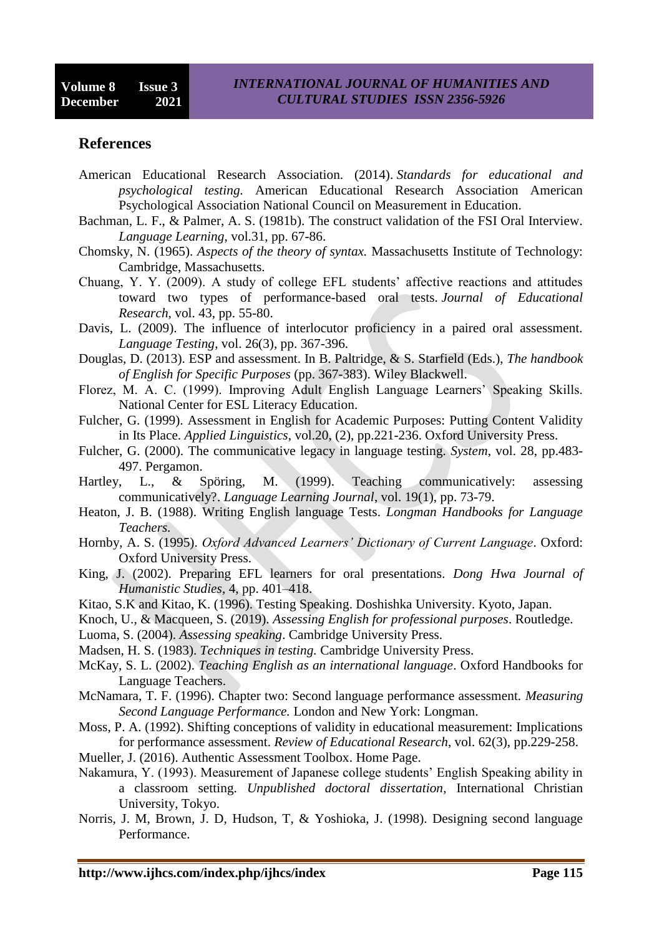## **References**

- American Educational Research Association. (2014). *Standards for educational and psychological testing.* American Educational Research Association American Psychological Association National Council on Measurement in Education.
- Bachman, L. F., & Palmer, A. S. (1981b). The construct validation of the FSI Oral Interview. *Language Learning*, vol.31, pp. 67-86.
- Chomsky, N. (1965). *Aspects of the theory of syntax.* Massachusetts Institute of Technology: Cambridge, Massachusetts.
- Chuang, Y. Y. (2009). A study of college EFL students' affective reactions and attitudes toward two types of performance-based oral tests. *Journal of Educational Research*, vol. 43, pp. 55-80.
- Davis, L. (2009). The influence of interlocutor proficiency in a paired oral assessment. *Language Testing*, vol. 26(3), pp. 367-396.
- Douglas, D. (2013). ESP and assessment. In B. Paltridge, & S. Starfield (Eds.), *The handbook of English for Specific Purposes* (pp. 367-383). Wiley Blackwell.
- Florez, M. A. C. (1999). Improving Adult English Language Learners' Speaking Skills. National Center for ESL Literacy Education.
- Fulcher, G. (1999). Assessment in English for Academic Purposes: Putting Content Validity in Its Place. *Applied Linguistics*, vol.20, (2), pp.221-236. Oxford University Press.
- Fulcher, G. (2000). The communicative legacy in language testing. *System*, vol. 28, pp.483- 497. Pergamon.
- Hartley, L., & Spöring, M. (1999). Teaching communicatively: assessing communicatively?. *Language Learning Journal*, vol. 19(1), pp. 73-79.
- Heaton, J. B. (1988). Writing English language Tests. *Longman Handbooks for Language Teachers.*
- Hornby, A. S. (1995). *Oxford Advanced Learners' Dictionary of Current Language*. Oxford: Oxford University Press.
- King, J. (2002). Preparing EFL learners for oral presentations. *Dong Hwa Journal of Humanistic Studies*, 4, pp. 401–418.
- Kitao, S.K and Kitao, K. (1996). Testing Speaking. Doshishka University. Kyoto, Japan.
- Knoch, U., & Macqueen, S. (2019). *Assessing English for professional purposes*. Routledge.
- Luoma, S. (2004). *Assessing speaking*. Cambridge University Press.
- Madsen, H. S. (1983). *Techniques in testing.* Cambridge University Press.
- McKay, S. L. (2002). *Teaching English as an international language*. Oxford Handbooks for Language Teachers.
- McNamara, T. F. (1996). Chapter two: Second language performance assessment. *Measuring Second Language Performance.* London and New York: Longman.
- Moss, P. A. (1992). Shifting conceptions of validity in educational measurement: Implications for performance assessment. *Review of Educational Research*, vol. 62(3), pp.229-258.
- Mueller, J. (2016). Authentic Assessment Toolbox. Home Page.
- Nakamura, Y. (1993). Measurement of Japanese college students' English Speaking ability in a classroom setting. *Unpublished doctoral dissertation*, International Christian University, Tokyo.
- Norris, J. M, Brown, J. D, Hudson, T, & Yoshioka, J. (1998). Designing second language Performance.